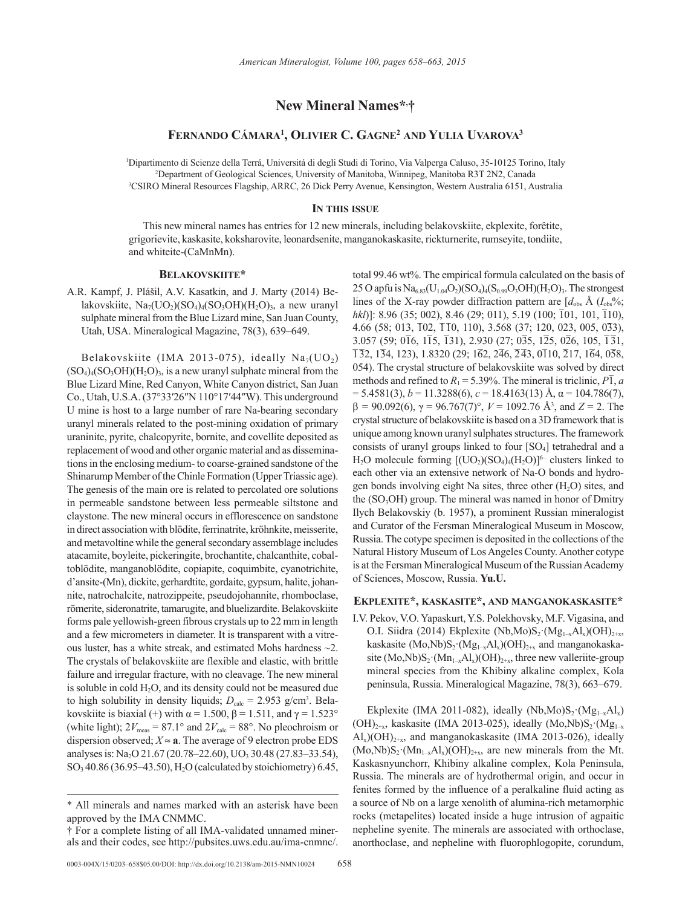# **New Mineral Names\*, †**

## **Fernando Cámara1 , Olivier C. Gagne2 and Yulia Uvarova3**

1 Dipartimento di Scienze della Terrá, Universitá di degli Studi di Torino, Via Valperga Caluso, 35-10125 Torino, Italy 2 Department of Geological Sciences, University of Manitoba, Winnipeg, Manitoba R3T 2N2, Canada 3 CSIRO Mineral Resources Flagship, ARRC, 26 Dick Perry Avenue, Kensington, Western Australia 6151, Australia

## **In this issue**

This new mineral names has entries for 12 new minerals, including belakovskiite, ekplexite, forêtite, grigorievite, kaskasite, koksharovite, leonardsenite, manganokaskasite, rickturnerite, rumseyite, tondiite, and whiteite-(CaMnMn).

#### **Belakovskiite\***

A.R. Kampf, J. Plášil, A.V. Kasatkin, and J. Marty (2014) Belakovskiite, Na<sub>7</sub>(UO<sub>2</sub>)(SO<sub>4</sub>)<sub>4</sub>(SO<sub>3</sub>OH)(H<sub>2</sub>O)<sub>3</sub>, a new uranyl sulphate mineral from the Blue Lizard mine, San Juan County, Utah, USA. Mineralogical Magazine, 78(3), 639–649.

Belakovskiite (IMA 2013-075), ideally  $Na<sub>7</sub>(UO<sub>2</sub>)$  $(SO<sub>4</sub>)<sub>4</sub>(SO<sub>3</sub>OH)(H<sub>2</sub>O)<sub>3</sub>$ , is a new uranyl sulphate mineral from the Blue Lizard Mine, Red Canyon, White Canyon district, San Juan Co., Utah, U.S.A. (37°33′26″N 110°17′44″W). This underground U mine is host to a large number of rare Na-bearing secondary uranyl minerals related to the post-mining oxidation of primary uraninite, pyrite, chalcopyrite, bornite, and covellite deposited as replacement of wood and other organic material and as disseminations in the enclosing medium- to coarse-grained sandstone of the Shinarump Member of the Chinle Formation (Upper Triassic age). The genesis of the main ore is related to percolated ore solutions in permeable sandstone between less permeable siltstone and claystone. The new mineral occurs in efflorescence on sandstone in direct association with blödite, ferrinatrite, kröhnkite, meisserite, and metavoltine while the general secondary assemblage includes atacamite, boyleite, pickeringite, brochantite, chalcanthite, cobaltoblödite, manganoblödite, copiapite, coquimbite, cyanotrichite, d'ansite-(Mn), dickite, gerhardtite, gordaite, gypsum, halite, johannite, natrochalcite, natrozippeite, pseudojohannite, rhomboclase, römerite, sideronatrite, tamarugite, and bluelizardite. Belakovskiite forms pale yellowish-green fibrous crystals up to 22 mm in length and a few micrometers in diameter. It is transparent with a vitreous luster, has a white streak, and estimated Mohs hardness ~2. The crystals of belakovskiite are flexible and elastic, with brittle failure and irregular fracture, with no cleavage. The new mineral is soluble in cold  $H_2O$ , and its density could not be measured due to high solubility in density liquids;  $D_{\text{calc}} = 2.953$  g/cm<sup>3</sup>. Belakovskiite is biaxial (+) with  $\alpha$  = 1.500,  $\beta$  = 1.511, and  $\gamma$  = 1.523° (white light);  $2V_{\text{meas}} = 87.1^{\circ}$  and  $2V_{\text{calc}} = 88^{\circ}$ . No pleochroism or dispersion observed;  $X \approx a$ . The average of 9 electron probe EDS analyses is: Na<sub>2</sub>O 21.67 (20.78–22.60), UO<sub>3</sub> 30.48 (27.83–33.54), SO<sub>3</sub> 40.86 (36.95–43.50), H<sub>2</sub>O (calculated by stoichiometry) 6.45, total 99.46 wt%. The empirical formula calculated on the basis of 25 O apfu is  $Na_{6.83}(U_{1.04}O_2)(SO_4)_4(S_{0.99}O_3OH)(H_2O)_3$ . The strongest lines of the X-ray powder diffraction pattern are  $[d_{obs} \, \hat{A} \, (I_{obs} \, \hat{\%})$ ; *hkl*)]: 8.96 (35; 002), 8.46 (29; 011), 5.19 (100; 101, 101, 110), 4.66 (58; 013, 102, 110, 110), 3.568 (37; 120, 023, 005, 033),  $3.057$  (59;  $0\overline{16}$ ,  $1\overline{15}$ ,  $\overline{131}$ ),  $2.930$  ( $27$ ;  $0\overline{35}$ ,  $1\overline{25}$ ,  $0\overline{26}$ ,  $105$ ,  $\overline{131}$ ,  $\overline{1}\overline{3}2, 1\overline{3}4, 123, 1.8320$  (29;  $1\overline{6}2, 2\overline{4}6, \overline{2}\overline{4}3, 0\overline{1}10, \overline{2}17, 1\overline{6}4, 0\overline{5}8,$ 054). The crystal structure of belakovskiite was solved by direct methods and refined to  $R_1 = 5.39\%$ . The mineral is triclinic,  $P\overline{1}$ , *a*  $= 5.4581(3), b = 11.3288(6), c = 18.4163(13)$  Å,  $\alpha = 104.786(7)$ , β *=* 90.092(6), γ = 96.767(7)°, *V* = 1092.76 Å3 , and *Z* = 2. The crystal structure of belakovskiite is based on a 3D framework that is unique among known uranyl sulphates structures. The framework consists of uranyl groups linked to four  $[SO_4]$  tetrahedral and a  $H_2O$  molecule forming  $[(UO_2)(SO_4)_4(H_2O)]^{6-}$  clusters linked to each other via an extensive network of Na-O bonds and hydrogen bonds involving eight Na sites, three other  $(H<sub>2</sub>O)$  sites, and the  $(SO<sub>3</sub>OH)$  group. The mineral was named in honor of Dmitry Ilych Belakovskiy (b. 1957), a prominent Russian mineralogist and Curator of the Fersman Mineralogical Museum in Moscow, Russia. The cotype specimen is deposited in the collections of the Natural History Museum of Los Angeles County. Another cotype is at the Fersman Mineralogical Museum of the Russian Academy of Sciences, Moscow, Russia. **Yu.U.**

## **Ekplexite\*, kaskasite\*, and manganokaskasite\***

I.V. Pekov, V.O. Yapaskurt, Y.S. Polekhovsky, M.F. Vigasina, and O.I. Siidra (2014) Ekplexite (Nb,Mo)S<sub>2</sub> (Mg<sub>1-x</sub>Al<sub>x</sub>)(OH)<sub>2+x</sub>, kaskasite (Mo,Nb)S<sub>2</sub>·(Mg<sub>1-x</sub>Al<sub>x</sub>)(OH)<sub>2+x</sub> and manganokaskasite  $(Mo, Nb)S_2 \cdot (Mn_{1-x}Al_x)(OH)_{2+x}$ , three new valleriite-group mineral species from the Khibiny alkaline complex, Kola peninsula, Russia. Mineralogical Magazine, 78(3), 663–679.

Ekplexite (IMA 2011-082), ideally  $(Nb, Mo)S_2 \t(Mg_{1-x}Al_x)$  $(OH)_{2+x}$ , kaskasite (IMA 2013-025), ideally  $(Mo,Nb)S_2 \cdot (Mg_{1-x})$  $Al_x$ )(OH)<sub>2+x</sub>, and manganokaskasite (IMA 2013-026), ideally  $(Mo,Nb)S_2 \cdot (Mn_{1-x}Al_x)(OH)_{2+x}$ , are new minerals from the Mt. Kaskasnyunchorr, Khibiny alkaline complex, Kola Peninsula, Russia. The minerals are of hydrothermal origin, and occur in fenites formed by the influence of a peralkaline fluid acting as a source of Nb on a large xenolith of alumina-rich metamorphic rocks (metapelites) located inside a huge intrusion of agpaitic nepheline syenite. The minerals are associated with orthoclase, anorthoclase, and nepheline with fluorophlogopite, corundum,

<sup>\*</sup> All minerals and names marked with an asterisk have been approved by the IMA CNMMC.

<sup>†</sup> For a complete listing of all IMA-validated unnamed minerals and their codes, see http://pubsites.uws.edu.au/ima-cnmnc/.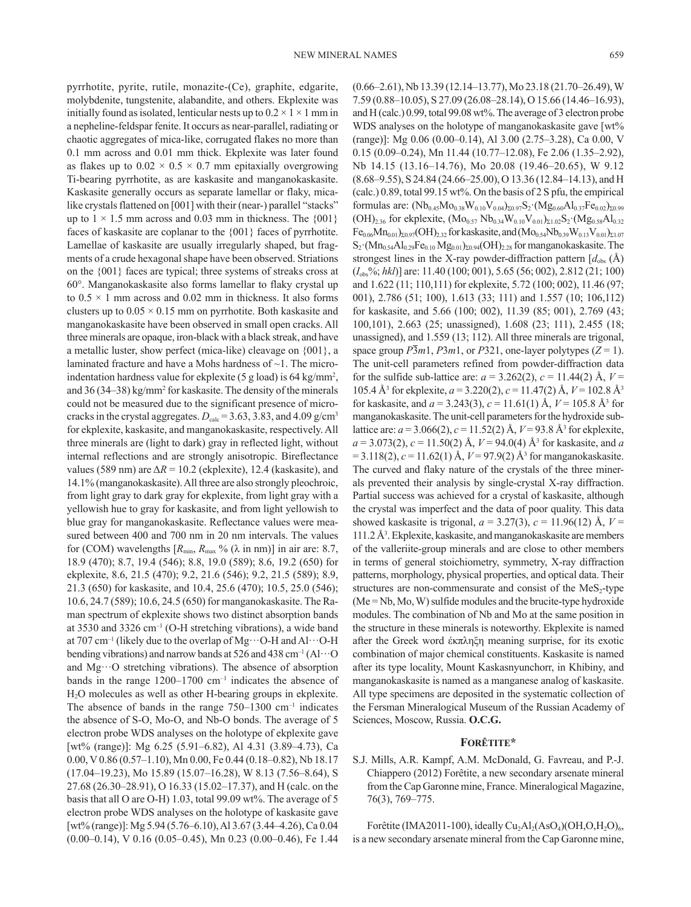pyrrhotite, pyrite, rutile, monazite-(Ce), graphite, edgarite, molybdenite, tungstenite, alabandite, and others. Ekplexite was initially found as isolated, lenticular nests up to  $0.2 \times 1 \times 1$  mm in a nepheline-feldspar fenite. It occurs as near-parallel, radiating or chaotic aggregates of mica-like, corrugated flakes no more than 0.1 mm across and 0.01 mm thick. Ekplexite was later found as flakes up to  $0.02 \times 0.5 \times 0.7$  mm epitaxially overgrowing Ti-bearing pyrrhotite, as are kaskasite and manganokaskasite. Kaskasite generally occurs as separate lamellar or flaky, micalike crystals flattened on [001] with their (near-) parallel "stacks" up to  $1 \times 1.5$  mm across and 0.03 mm in thickness. The  $\{001\}$ faces of kaskasite are coplanar to the {001} faces of pyrrhotite. Lamellae of kaskasite are usually irregularly shaped, but fragments of a crude hexagonal shape have been observed. Striations on the {001} faces are typical; three systems of streaks cross at 60°. Manganokaskasite also forms lamellar to flaky crystal up to  $0.5 \times 1$  mm across and  $0.02$  mm in thickness. It also forms clusters up to  $0.05 \times 0.15$  mm on pyrrhotite. Both kaskasite and manganokaskasite have been observed in small open cracks. All three minerals are opaque, iron-black with a black streak, and have a metallic luster, show perfect (mica-like) cleavage on {001}, a laminated fracture and have a Mohs hardness of ~1. The microindentation hardness value for ekplexite (5 g load) is 64 kg/mm2 , and 36 (34–38) kg/mm<sup>2</sup> for kaskasite. The density of the minerals could not be measured due to the significant presence of microcracks in the crystal aggregates.  $D_{\text{calc}} = 3.63, 3.83, \text{ and } 4.09 \text{ g/cm}^3$ for ekplexite, kaskasite, and manganokaskasite, respectively. All three minerals are (light to dark) gray in reflected light, without internal reflections and are strongly anisotropic. Bireflectance values (589 nm) are  $\Delta R = 10.2$  (ekplexite), 12.4 (kaskasite), and 14.1% (manganokaskasite). All three are also strongly pleochroic, from light gray to dark gray for ekplexite, from light gray with a yellowish hue to gray for kaskasite, and from light yellowish to blue gray for manganokaskasite. Reflectance values were measured between 400 and 700 nm in 20 nm intervals. The values for (COM) wavelengths  $[R_{\text{min}}, R_{\text{max}} \%$  ( $\lambda$  in nm)] in air are: 8.7, 18.9 (470); 8.7, 19.4 (546); 8.8, 19.0 (589); 8.6, 19.2 (650) for ekplexite, 8.6, 21.5 (470); 9.2, 21.6 (546); 9.2, 21.5 (589); 8.9, 21.3 (650) for kaskasite, and 10.4, 25.6 (470); 10.5, 25.0 (546); 10.6, 24.7 (589); 10.6, 24.5 (650) for manganokaskasite. The Raman spectrum of ekplexite shows two distinct absorption bands at 3530 and 3326 cm<sup>-1</sup> (O-H stretching vibrations), a wide band at 707 cm<sup>-1</sup> (likely due to the overlap of Mg··· O-H and Al··· O-H bending vibrations) and narrow bands at 526 and 438 cm<sup>-1</sup> (Al···O and Mg··O stretching vibrations). The absence of absorption bands in the range  $1200-1700$  cm<sup>-1</sup> indicates the absence of H2O molecules as well as other H-bearing groups in ekplexite. The absence of bands in the range  $750-1300$  cm<sup>-1</sup> indicates the absence of S-O, Mo-O, and Nb-O bonds. The average of 5 electron probe WDS analyses on the holotype of ekplexite gave [wt% (range)]: Mg 6.25 (5.91–6.82), Al 4.31 (3.89–4.73), Ca 0.00, V 0.86 (0.57–1.10), Mn 0.00, Fe 0.44 (0.18–0.82), Nb 18.17 (17.04–19.23), Mo 15.89 (15.07–16.28), W 8.13 (7.56–8.64), S 27.68 (26.30–28.91), O 16.33 (15.02–17.37), and H (calc. on the basis that all O are O-H) 1.03, total 99.09 wt%. The average of 5 electron probe WDS analyses on the holotype of kaskasite gave [wt% (range)]: Mg 5.94 (5.76–6.10), Al 3.67 (3.44–4.26), Ca 0.04 (0.00–0.14), V 0.16 (0.05–0.45), Mn 0.23 (0.00–0.46), Fe 1.44

(0.66–2.61), Nb 13.39 (12.14–13.77), Mo 23.18 (21.70–26.49), W 7.59 (0.88–10.05), S 27.09 (26.08–28.14), O 15.66 (14.46–16.93), and H (calc.) 0.99, total 99.08 wt%. The average of 3 electron probe WDS analyses on the holotype of manganokaskasite gave [wt%] (range)]: Mg 0.06 (0.00–0.14), Al 3.00 (2.75–3.28), Ca 0.00, V 0.15 (0.09–0.24), Mn 11.44 (10.77–12.08), Fe 2.06 (1.35–2.92), Nb 14.15 (13.16–14.76), Mo 20.08 (19.46–20.65), W 9.12 (8.68–9.55), S 24.84 (24.66–25.00), O 13.36 (12.84–14.13), and H (calc.) 0.89, total 99.15 wt%. On the basis of 2 S pfu, the empirical formulas are:  $(Nb_{0.45}Mo_{0.38}W_{0.10}V_{0.04})_{\Sigma 0.97}S_2 \cdot (Mg_{0.60}Al_{0.37}Fe_{0.02})_{\Sigma 0.99}$  $(OH)_{2,36}$  for ekplexite,  $(Mo_{0.57}Nb_{0.34}W_{0.10}V_{0.01})_{\Sigma1.02}S_2 \cdot (Mg_{0.58}Al_{0.32})$  $Fe_{0.06}Mn_{0.01}$ <sub> $\Sigma 0.97$ </sub> (OH)<sub>2.32</sub> for kaskasite, and  $(Mo_{0.54}Nb_{0.39}W_{0.13}V_{0.01})_{\Sigma 1.07}$  $S_2$ ·(Mn<sub>0.54</sub>Al<sub>0.29</sub>Fe<sub>0.10</sub> Mg<sub>0.01</sub>)<sub> $\Sigma$ 0.94</sub>(OH)<sub>2.28</sub> for manganokaskasite. The strongest lines in the X-ray powder-diffraction pattern  $[d_{obs}(\text{Å})]$ (*I*obs%; *hkl*)] are: 11.40 (100; 001), 5.65 (56; 002), 2.812 (21; 100) and 1.622 (11; 110,111) for ekplexite, 5.72 (100; 002), 11.46 (97; 001), 2.786 (51; 100), 1.613 (33; 111) and 1.557 (10; 106,112) for kaskasite, and 5.66 (100; 002), 11.39 (85; 001), 2.769 (43; 100,101), 2.663 (25; unassigned), 1.608 (23; 111), 2.455 (18; unassigned), and 1.559 (13; 112). All three minerals are trigonal, space group  $\overline{P3}m1$ ,  $\overline{P3}m1$ , or  $\overline{P3}21$ , one-layer polytypes ( $\overline{Z} = 1$ ). The unit-cell parameters refined from powder-diffraction data for the sulfide sub-lattice are:  $a = 3.262(2)$ ,  $c = 11.44(2)$  Å,  $V =$ 105.4 Å3 for ekplexite, *a* = 3.220(2), *c* = 11.47(2) Å, *V* = 102.8 Å3 for kaskasite, and  $a = 3.243(3)$ ,  $c = 11.61(1)$  Å,  $V = 105.8$  Å<sup>3</sup> for manganokaskasite. The unit-cell parameters for the hydroxide sublattice are: *a* = 3.066(2), *c* = 11.52(2) Å, *V* = 93.8 Å3 for ekplexite, *a* = 3.073(2), *c* = 11.50(2) Å, *V* = 94.0(4) Å3 for kaskasite, and *a*  $= 3.118(2), c = 11.62(1)$  Å,  $V = 97.9(2)$  Å<sup>3</sup> for manganokaskasite. The curved and flaky nature of the crystals of the three minerals prevented their analysis by single-crystal X-ray diffraction. Partial success was achieved for a crystal of kaskasite, although the crystal was imperfect and the data of poor quality. This data showed kaskasite is trigonal, *a* = 3.27(3), *c* = 11.96(12) Å, *V* =  $111.2 \text{ Å}^3$ . Ekplexite, kaskasite, and manganokaskasite are members of the valleriite-group minerals and are close to other members in terms of general stoichiometry, symmetry, X-ray diffraction patterns, morphology, physical properties, and optical data. Their structures are non-commensurate and consist of the  $MeS<sub>2</sub>$ -type (Me = Nb, Mo, W) sulfide modules and the brucite-type hydroxide modules. The combination of Nb and Mo at the same position in the structure in these minerals is noteworthy. Ekplexite is named after the Greek word έκπληξη meaning surprise, for its exotic combination of major chemical constituents. Kaskasite is named after its type locality, Mount Kaskasnyunchorr, in Khibiny, and manganokaskasite is named as a manganese analog of kaskasite. All type specimens are deposited in the systematic collection of the Fersman Mineralogical Museum of the Russian Academy of Sciences, Moscow, Russia. **O.C.G.**

#### **Forêtite\***

S.J. Mills, A.R. Kampf, A.M. McDonald, G. Favreau, and P.-J. Chiappero (2012) Forêtite, a new secondary arsenate mineral from the Cap Garonne mine, France. Mineralogical Magazine, 76(3), 769–775.

Forêtite (IMA2011-100), ideally  $Cu<sub>2</sub>Al<sub>2</sub>(AsO<sub>4</sub>)(OH, O, H<sub>2</sub>O)<sub>6</sub>$ , is a new secondary arsenate mineral from the Cap Garonne mine,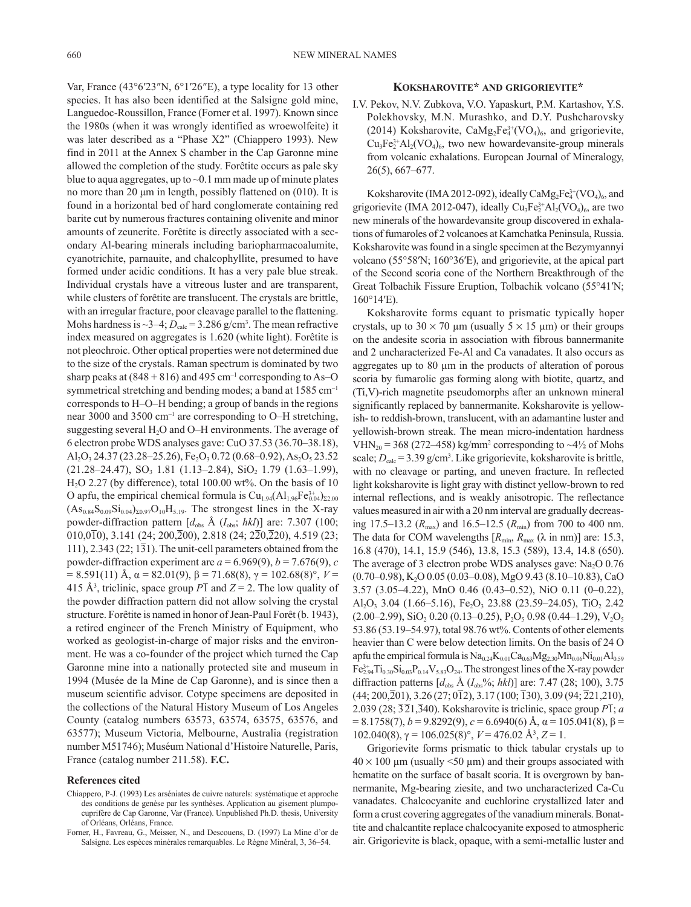Var, France (43°6′23″N, 6°1′26″E), a type locality for 13 other species. It has also been identified at the Salsigne gold mine, Languedoc-Roussillon, France (Forner et al. 1997). Known since the 1980s (when it was wrongly identified as wroewolfeite) it was later described as a "Phase X2" (Chiappero 1993). New find in 2011 at the Annex S chamber in the Cap Garonne mine allowed the completion of the study. Forêtite occurs as pale sky blue to aqua aggregates, up to ~0.1 mm made up of minute plates no more than 20 μm in length, possibly flattened on (010). It is found in a horizontal bed of hard conglomerate containing red barite cut by numerous fractures containing olivenite and minor amounts of zeunerite. Forêtite is directly associated with a secondary Al-bearing minerals including bariopharmacoalumite, cyanotrichite, parnauite, and chalcophyllite, presumed to have formed under acidic conditions. It has a very pale blue streak. Individual crystals have a vitreous luster and are transparent, while clusters of forêtite are translucent. The crystals are brittle, with an irregular fracture, poor cleavage parallel to the flattening. Mohs hardness is  $\sim$ 3–4;  $D_{\text{calc}}$  = 3.286 g/cm<sup>3</sup>. The mean refractive index measured on aggregates is 1.620 (white light). Forêtite is not pleochroic. Other optical properties were not determined due to the size of the crystals. Raman spectrum is dominated by two sharp peaks at  $(848 + 816)$  and 495 cm<sup>-1</sup> corresponding to As–O symmetrical stretching and bending modes; a band at 1585 cm<sup>-1</sup> corresponds to H–O–H bending; a group of bands in the regions near 3000 and 3500 cm–1 are corresponding to O–H stretching, suggesting several  $H_2O$  and O–H environments. The average of 6 electron probe WDS analyses gave: CuO 37.53 (36.70–38.18),  $Al_2O_3$  24.37 (23.28–25.26), Fe<sub>2</sub>O<sub>3</sub> 0.72 (0.68–0.92), As<sub>2</sub>O<sub>5</sub> 23.52  $(21.28-24.47)$ ,  $SO_3$  1.81  $(1.13-2.84)$ ,  $SiO_2$  1.79  $(1.63-1.99)$ ,  $H<sub>2</sub>O$  2.27 (by difference), total 100.00 wt%. On the basis of 10 O apfu, the empirical chemical formula is  $Cu_{1.94}(Al_{1.96}Fe_{0.04}^{3+})_{\Sigma2.00}$  $(As_{0.84}S_{0.09}Si_{0.04})_{\Sigma 0.97}O_{10}H_{5.19}$ . The strongest lines in the X-ray powder-diffraction pattern  $[d_{obs} \text{ Å } (I_{obs}; \text{ hkl})]$  are: 7.307 (100; 010,010), 3.141 (24; 200,200), 2.818 (24; 220,220), 4.519 (23; 111),  $2.343(22; 131)$ . The unit-cell parameters obtained from the powder-diffraction experiment are  $a = 6.969(9)$ ,  $b = 7.676(9)$ ,  $c$ = 8.591(11) Å, α = 82.01(9), β = 71.68(8), γ = 102.68(8)°, *V* = 415 Å<sup>3</sup>, triclinic, space group  $P\overline{1}$  and  $Z = 2$ . The low quality of the powder diffraction pattern did not allow solving the crystal structure. Forêtite is named in honor of Jean-Paul Forêt (b. 1943), a retired engineer of the French Ministry of Equipment, who worked as geologist-in-charge of major risks and the environment. He was a co-founder of the project which turned the Cap Garonne mine into a nationally protected site and museum in 1994 (Musée de la Mine de Cap Garonne), and is since then a museum scientific advisor. Cotype specimens are deposited in the collections of the Natural History Museum of Los Angeles County (catalog numbers 63573, 63574, 63575, 63576, and 63577); Museum Victoria, Melbourne, Australia (registration number M51746); Muséum National d'Histoire Naturelle, Paris, France (catalog number 211.58). **F.C.**

## **References cited**

- Chiappero, P-J. (1993) Les arséniates de cuivre naturels: systématique et approche des conditions de genèse par les synthèses. Application au gisement plumpocuprifère de Cap Garonne, Var (France). Unpublished Ph.D. thesis, University of Orléans, Orléans, France.
- Forner, H., Favreau, G., Meisser, N., and Descouens, D. (1997) La Mine d'or de Salsigne. Les espèces minèrales remarquables. Le Règne Minéral, 3, 36–54.

## **Koksharovite\* and grigorievite\***

I.V. Pekov, N.V. Zubkova, V.O. Yapaskurt, P.M. Kartashov, Y.S. Polekhovsky, M.N. Murashko, and D.Y. Pushcharovsky (2014) Koksharovite,  $CaMg_2Fe^{3+}(VO_4)_6$ , and grigorievite,  $Cu<sub>3</sub>Fe<sub>2</sub><sup>3+</sup>Al<sub>2</sub>(VO<sub>4</sub>)<sub>6</sub>$ , two new howardevansite-group minerals from volcanic exhalations. European Journal of Mineralogy, 26(5), 667–677.

Koksharovite (IMA 2012-092), ideally  $CaMg_2Fe^{3+}_{4}(VO_4)_6$ , and grigorievite (IMA 2012-047), ideally  $Cu<sub>3</sub>Fe<sub>2</sub><sup>3+</sup>Al<sub>2</sub>(VO<sub>4</sub>)<sub>6</sub>$ , are two new minerals of the howardevansite group discovered in exhalations of fumaroles of 2 volcanoes at Kamchatka Peninsula, Russia. Koksharovite was found in a single specimen at the Bezymyannyi volcano (55°58′N; 160°36′E), and grigorievite, at the apical part of the Second scoria cone of the Northern Breakthrough of the Great Tolbachik Fissure Eruption, Tolbachik volcano (55°41′N; 160°14′E).

Koksharovite forms equant to prismatic typically hoper crystals, up to  $30 \times 70$  µm (usually  $5 \times 15$  µm) or their groups on the andesite scoria in association with fibrous bannermanite and 2 uncharacterized Fe-Al and Ca vanadates. It also occurs as aggregates up to 80 µm in the products of alteration of porous scoria by fumarolic gas forming along with biotite, quartz, and (Ti,V)-rich magnetite pseudomorphs after an unknown mineral significantly replaced by bannermanite. Koksharovite is yellowish- to reddish-brown, translucent, with an adamantine luster and yellowish-brown streak. The mean micro-indentation hardness VHN<sub>20</sub> = 368 (272–458) kg/mm<sup>2</sup> corresponding to  $\sim$ 4½ of Mohs scale;  $D_{\text{calc}} = 3.39 \text{ g/cm}^3$ . Like grigorievite, koksharovite is brittle, with no cleavage or parting, and uneven fracture. In reflected light koksharovite is light gray with distinct yellow-brown to red internal reflections, and is weakly anisotropic. The reflectance values measured in air with a 20 nm interval are gradually decreasing 17.5–13.2 ( $R_{\text{max}}$ ) and 16.5–12.5 ( $R_{\text{min}}$ ) from 700 to 400 nm. The data for COM wavelengths  $[R_{min}, R_{max} (\lambda \text{ in nm})]$  are: 15.3, 16.8 (470), 14.1, 15.9 (546), 13.8, 15.3 (589), 13.4, 14.8 (650). The average of 3 electron probe WDS analyses gave:  $Na<sub>2</sub>O$  0.76  $(0.70-0.98)$ , K<sub>2</sub>O  $0.05$   $(0.03-0.08)$ , MgO  $9.43$   $(8.10-10.83)$ , CaO 3.57 (3.05–4.22), MnO 0.46 (0.43–0.52), NiO 0.11 (0–0.22), Al<sub>2</sub>O<sub>3</sub> 3.04 (1.66–5.16), Fe<sub>2</sub>O<sub>3</sub> 23.88 (23.59–24.05), TiO<sub>2</sub> 2.42  $(2.00-2.99)$ , SiO<sub>2</sub> 0.20  $(0.13-0.25)$ , P<sub>2</sub>O<sub>5</sub> 0.98  $(0.44-1.29)$ , V<sub>2</sub>O<sub>5</sub> 53.86 (53.19–54.97), total 98.76 wt%. Contents of other elements heavier than C were below detection limits. On the basis of 24 O apfu the empirical formula is  $Na_{0.24}K_{0.01}Ca_{0.63}Mg_{2.30}Mn_{0.06}Ni_{0.01}Al_{0.59}$  $Fe_{2.94}^{3+}Ti_{0.30}Si_{0.03}P_{0.14}V_{5.83}O_{24}$ . The strongest lines of the X-ray powder diffraction patterns [ $d_{obs}$  Å ( $I_{obs}$ %; *hkl*)] are: 7.47 (28; 100), 3.75  $(44; 200, \overline{2}01)$ , 3.26  $(27; 0\overline{1}2)$ , 3.17  $(100; \overline{1}30)$ , 3.09  $(94; \overline{2}21, 210)$ , 2.039 (28;  $\overline{32}1,\overline{340}$ ). Koksharovite is triclinic, space group  $\overline{PI}$ ; *a*  $= 8.1758(7)$ ,  $b = 9.8292(9)$ ,  $c = 6.6940(6)$  Å,  $\alpha = 105.041(8)$ ,  $\beta =$ 102.040(8),  $\gamma = 106.025(8)^\circ$ ,  $V = 476.02$  Å<sup>3</sup>,  $Z = 1$ .

Grigorievite forms prismatic to thick tabular crystals up to  $40 \times 100$  µm (usually  $\leq 50$  µm) and their groups associated with hematite on the surface of basalt scoria. It is overgrown by bannermanite, Mg-bearing ziesite, and two uncharacterized Ca-Cu vanadates. Chalcocyanite and euchlorine crystallized later and form a crust covering aggregates of the vanadium minerals. Bonattite and chalcantite replace chalcocyanite exposed to atmospheric air. Grigorievite is black, opaque, with a semi-metallic luster and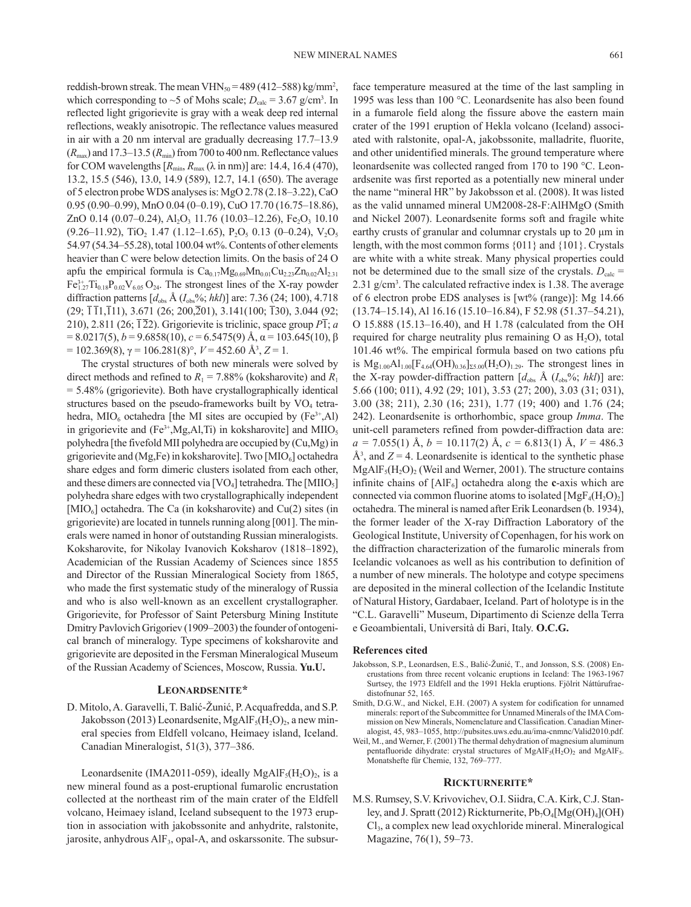reddish-brown streak. The mean  $VHN_{50} = 489 (412 - 588) \text{ kg/mm}^2$ , which corresponding to  $\sim$ 5 of Mohs scale;  $D_{\text{calc}} = 3.67 \text{ g/cm}^3$ . In reflected light grigorievite is gray with a weak deep red internal reflections, weakly anisotropic. The reflectance values measured in air with a 20 nm interval are gradually decreasing 17.7–13.9  $(R_{\text{max}})$  and 17.3–13.5  $(R_{\text{min}})$  from 700 to 400 nm. Reflectance values for COM wavelengths  $[R_{min}, R_{max} (\lambda \text{ in nm})]$  are: 14.4, 16.4 (470), 13.2, 15.5 (546), 13.0, 14.9 (589), 12.7, 14.1 (650). The average of 5 electron probe WDS analyses is: MgO 2.78 (2.18–3.22), CaO 0.95 (0.90–0.99), MnO 0.04 (0–0.19), CuO 17.70 (16.75–18.86), ZnO 0.14 (0.07-0.24),  $Al_2O_3$  11.76 (10.03-12.26), Fe<sub>2</sub>O<sub>3</sub> 10.10  $(9.26-11.92)$ , TiO<sub>2</sub> 1.47 (1.12–1.65), P<sub>2</sub>O<sub>5</sub> 0.13 (0–0.24), V<sub>2</sub>O<sub>5</sub> 54.97 (54.34–55.28), total 100.04 wt%. Contents of other elements heavier than C were below detection limits. On the basis of 24 O apfu the empirical formula is  $Ca<sub>0.17</sub>Mg<sub>0.69</sub>Mn<sub>0.01</sub>Cu<sub>2.23</sub>Zn<sub>0.02</sub>Al<sub>2.31</sub>$  $Fe_{1.27}^{3+}Ti_{0.18}P_{0.02}V_{6.05}O_{24}$ . The strongest lines of the X-ray powder diffraction patterns  $[d_{obs} \text{ Å } (I_{obs} \text{%}, \text{hkl})]$  are: 7.36 (24; 100), 4.718  $(29; \overline{111}, \overline{111}), 3.671 (26; 200, \overline{201}), 3.141(100; \overline{130}), 3.044 (92;$ 210), 2.811 (26;  $\overline{12}$ 2). Grigorievite is triclinic, space group  $P\overline{1}$ ; *a*  $= 8.0217(5)$ ,  $b = 9.6858(10)$ ,  $c = 6.5475(9)$  Å,  $α = 103.645(10)$ , β  $= 102.369(8)$ ,  $\gamma = 106.281(8)$ °,  $V = 452.60$  Å<sup>3</sup>,  $Z = 1$ .

The crystal structures of both new minerals were solved by direct methods and refined to  $R_1 = 7.88\%$  (koksharovite) and  $R_1$ = 5.48% (grigorievite). Both have crystallographically identical structures based on the pseudo-frameworks built by  $VO<sub>4</sub>$  tetrahedra, MIO<sub>6</sub> octahedra [the MI sites are occupied by  $(Fe^{3+}, Al)$ ] in grigorievite and  $(Fe^{3+}, Mg, Al, Ti)$  in koksharovite] and MIIO<sub>5</sub> polyhedra [the fivefold MII polyhedra are occupied by (Cu,Mg) in grigorievite and (Mg,Fe) in koksharovite]. Two  $[MIO_6]$  octahedra share edges and form dimeric clusters isolated from each other, and these dimers are connected via  $[VO_4]$  tetrahedra. The  $[MIIO_5]$ polyhedra share edges with two crystallographically independent  $[MIO<sub>6</sub>]$  octahedra. The Ca (in koksharovite) and Cu(2) sites (in grigorievite) are located in tunnels running along [001]. The minerals were named in honor of outstanding Russian mineralogists. Koksharovite, for Nikolay Ivanovich Koksharov (1818–1892), Academician of the Russian Academy of Sciences since 1855 and Director of the Russian Mineralogical Society from 1865, who made the first systematic study of the mineralogy of Russia and who is also well-known as an excellent crystallographer. Grigorievite, for Professor of Saint Petersburg Mining Institute Dmitry Pavlovich Grigoriev (1909–2003) the founder of ontogenical branch of mineralogy. Type specimens of koksharovite and grigorievite are deposited in the Fersman Mineralogical Museum of the Russian Academy of Sciences, Moscow, Russia. **Yu.U.**

## **Leonardsenite\***

D. Mitolo, A. Garavelli, T. Balić-Žunić, P. Acquafredda, and S.P. Jakobsson (2013) Leonardsenite, MgAlF<sub>5</sub>(H<sub>2</sub>O)<sub>2</sub>, a new mineral species from Eldfell volcano, Heimaey island, Iceland. Canadian Mineralogist, 51(3), 377–386.

Leonardsenite (IMA2011-059), ideally MgAlF<sub>5</sub>(H<sub>2</sub>O)<sub>2</sub>, is a new mineral found as a post-eruptional fumarolic encrustation collected at the northeast rim of the main crater of the Eldfell volcano, Heimaey island, Iceland subsequent to the 1973 eruption in association with jakobssonite and anhydrite, ralstonite, jarosite, anhydrous  $\text{AIF}_3$ , opal-A, and oskarssonite. The subsurface temperature measured at the time of the last sampling in 1995 was less than 100 °C. Leonardsenite has also been found in a fumarole field along the fissure above the eastern main crater of the 1991 eruption of Hekla volcano (Iceland) associated with ralstonite, opal-A, jakobssonite, malladrite, fluorite, and other unidentified minerals. The ground temperature where leonardsenite was collected ranged from 170 to 190 °C. Leonardsenite was first reported as a potentially new mineral under the name "mineral HR" by Jakobsson et al. (2008). It was listed as the valid unnamed mineral UM2008-28-F:AlHMgO (Smith and Nickel 2007). Leonardsenite forms soft and fragile white earthy crusts of granular and columnar crystals up to 20 μm in length, with the most common forms {011} and {101}. Crystals are white with a white streak. Many physical properties could not be determined due to the small size of the crystals.  $D_{\text{calc}} =$ 2.31 g/cm<sup>3</sup>. The calculated refractive index is 1.38. The average of 6 electron probe EDS analyses is [wt% (range)]: Mg 14.66 (13.74–15.14), Al 16.16 (15.10–16.84), F 52.98 (51.37–54.21), O 15.888 (15.13–16.40), and H 1.78 (calculated from the OH required for charge neutrality plus remaining O as  $H_2O$ ), total 101.46 wt%. The empirical formula based on two cations pfu is  $Mg_{1.00}Al_{1.00} [F_{4.64}(OH)_{0.36}]_{\Sigma 5.00} (H_2O)_{1.29}$ . The strongest lines in the X-ray powder-diffraction pattern  $[d_{obs} \text{ Å } (I_{obs} \text{%}; \text{hkl})]$  are: 5.66 (100; 011), 4.92 (29; 101), 3.53 (27; 200), 3.03 (31; 031), 3.00 (38; 211), 2.30 (16; 231), 1.77 (19; 400) and 1.76 (24; 242). Leonardsenite is orthorhombic, space group *Imma*. The unit-cell parameters refined from powder-diffraction data are: *a =* 7.055(1) Å, *b =* 10.117(2) Å, *c =* 6.813(1) Å, *V =* 486.3  $\mathring{A}^3$ , and  $Z = 4$ . Leonardsenite is identical to the synthetic phase  $MgAlF_5(H_2O)_2$  (Weil and Werner, 2001). The structure contains infinite chains of  $[AIF_6]$  octahedra along the **c**-axis which are connected via common fluorine atoms to isolated  $[MgF_4(H,O)_2]$ octahedra. The mineral is named after Erik Leonardsen (b. 1934), the former leader of the X-ray Diffraction Laboratory of the Geological Institute, University of Copenhagen, for his work on the diffraction characterization of the fumarolic minerals from Icelandic volcanoes as well as his contribution to definition of a number of new minerals. The holotype and cotype specimens are deposited in the mineral collection of the Icelandic Institute of Natural History, Gardabaer, Iceland. Part of holotype is in the "C.L. Garavelli" Museum, Dipartimento di Scienze della Terra e Geoambientali, Università di Bari, Italy. **O.C.G.**

#### **References cited**

- Jakobsson, S.P., Leonardsen, E.S., Balić-Žunić, T., and Jonsson, S.S. (2008) Encrustations from three recent volcanic eruptions in Iceland: The 1963-1967 Surtsey, the 1973 Eldfell and the 1991 Hekla eruptions. Fjölrit Náttúrufraedistofnunar 52, 165.
- Smith, D.G.W., and Nickel, E.H. (2007) A system for codification for unnamed minerals: report of the Subcommittee for Unnamed Minerals of the IMA Commission on New Minerals, Nomenclature and Classification. Canadian Mineralogist, 45, 983–1055, http://pubsites.uws.edu.au/ima-cnmnc/Valid2010.pdf.
- Weil, M., and Werner, F. (2001) The thermal dehydration of magnesium aluminum pentafluoride dihydrate: crystal structures of  $MgAlF_5(H_2O)_2$  and  $MgAlF_5$ . Monatshefte für Chemie, 132, 769–777.

#### **Rickturnerite\***

M.S. Rumsey, S.V. Krivovichev, O.I. Siidra, C.A. Kirk, C.J. Stanley, and J. Spratt (2012) Rickturnerite,  $Pb_7O_4[Mg(OH)_4]$ (OH) Cl3, a complex new lead oxychloride mineral. Mineralogical Magazine, 76(1), 59–73.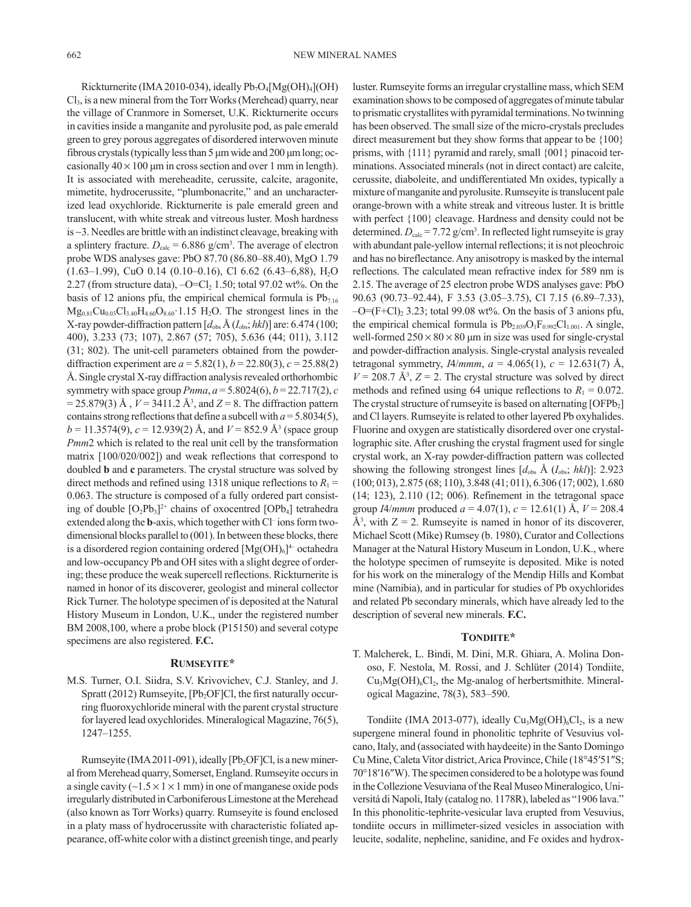Rickturnerite (IMA 2010-034), ideally  $Pb_7O_4[Mg(OH)_4]$ (OH)  $Cl<sub>3</sub>$ , is a new mineral from the Torr Works (Merehead) quarry, near the village of Cranmore in Somerset, U.K. Rickturnerite occurs in cavities inside a manganite and pyrolusite pod, as pale emerald green to grey porous aggregates of disordered interwoven minute fibrous crystals (typically less than 5 μm wide and 200 μm long; occasionally  $40 \times 100$  μm in cross section and over 1 mm in length). It is associated with mereheadite, cerussite, calcite, aragonite, mimetite, hydrocerussite, "plumbonacrite," and an uncharacterized lead oxychloride. Rickturnerite is pale emerald green and translucent, with white streak and vitreous luster. Mosh hardness is ~3. Needles are brittle with an indistinct cleavage, breaking with a splintery fracture.  $D_{\text{calc}} = 6.886 \text{ g/cm}^3$ . The average of electron probe WDS analyses gave: PbO 87.70 (86.80–88.40), MgO 1.79 (1.63–1.99), CuO 0.14 (0.10–0.16), Cl 6.62 (6.43–6,88), H2O 2.27 (from structure data),  $-O=Cl<sub>2</sub> 1.50$ ; total 97.02 wt%. On the basis of 12 anions pfu, the empirical chemical formula is  $Pb_{7.16}$  $Mg_{0.81}Cu_{0.03}Cl_{3.40}H_{4.60}O_{8.60}$  1.15 H<sub>2</sub>O. The strongest lines in the X-ray powder-diffraction pattern [*d*obs Å (*I*obs; *hkl*)] are: 6.474 (100; 400), 3.233 (73; 107), 2.867 (57; 705), 5.636 (44; 011), 3.112 (31; 802). The unit-cell parameters obtained from the powderdiffraction experiment are  $a = 5.82(1)$ ,  $b = 22.80(3)$ ,  $c = 25.88(2)$ Å. Single crystal X-ray diffraction analysis revealed orthorhombic symmetry with space group *Pnma*,  $a = 5.8024(6)$ ,  $b = 22.717(2)$ , *c*  $= 25.879(3)$  Å,  $V = 3411.2$  Å<sup>3</sup>, and  $Z = 8$ . The diffraction pattern contains strong reflections that define a subcell with  $a = 5.8034(5)$ ,  $b = 11.3574(9)$ ,  $c = 12.939(2)$  Å, and  $V = 852.9$  Å<sup>3</sup> (space group *Pmm*2 which is related to the real unit cell by the transformation matrix [100/020/002]) and weak reflections that correspond to doubled **b** and **c** parameters. The crystal structure was solved by direct methods and refined using 1318 unique reflections to  $R_1$  = 0.063. The structure is composed of a fully ordered part consisting of double  $[O_2Pb_3]^{2+}$  chains of oxocentred  $[OPb_4]$  tetrahedra extended along the **b**-axis, which together with Cl<sup>-</sup> ions form twodimensional blocks parallel to (001). In between these blocks, there is a disordered region containing ordered  $[Mg(OH)_6]^4$  octahedra and low-occupancy Pb and OH sites with a slight degree of ordering; these produce the weak supercell reflections. Rickturnerite is named in honor of its discoverer, geologist and mineral collector Rick Turner. The holotype specimen of is deposited at the Natural History Museum in London, U.K., under the registered number BM 2008,100, where a probe block (P15150) and several cotype specimens are also registered. **F.C.**

## **Rumseyite\***

M.S. Turner, O.I. Siidra, S.V. Krivovichev, C.J. Stanley, and J. Spratt (2012) Rumseyite,  $[Pb<sub>2</sub>OF]Cl$ , the first naturally occurring fluoroxychloride mineral with the parent crystal structure for layered lead oxychlorides. Mineralogical Magazine, 76(5), 1247–1255.

Rumseyite (IMA 2011-091), ideally [Pb<sub>2</sub>OF]Cl, is a new mineral from Merehead quarry, Somerset, England. Rumseyite occurs in a single cavity ( $\sim$ 1.5  $\times$  1  $\times$  1 mm) in one of manganese oxide pods irregularly distributed in Carboniferous Limestone at the Merehead (also known as Torr Works) quarry. Rumseyite is found enclosed in a platy mass of hydrocerussite with characteristic foliated appearance, off-white color with a distinct greenish tinge, and pearly luster. Rumseyite forms an irregular crystalline mass, which SEM examination shows to be composed of aggregates of minute tabular to prismatic crystallites with pyramidal terminations. No twinning has been observed. The small size of the micro-crystals precludes direct measurement but they show forms that appear to be  ${100}$ prisms, with {111} pyramid and rarely, small {001} pinacoid terminations. Associated minerals (not in direct contact) are calcite, cerussite, diaboleite, and undifferentiated Mn oxides, typically a mixture of manganite and pyrolusite. Rumseyite is translucent pale orange-brown with a white streak and vitreous luster. It is brittle with perfect {100} cleavage. Hardness and density could not be determined.  $D_{\text{calc}} = 7.72 \text{ g/cm}^3$ . In reflected light rumseyite is gray with abundant pale-yellow internal reflections; it is not pleochroic and has no bireflectance. Any anisotropy is masked by the internal reflections. The calculated mean refractive index for 589 nm is 2.15. The average of 25 electron probe WDS analyses gave: PbO 90.63 (90.73–92.44), F 3.53 (3.05–3.75), Cl 7.15 (6.89–7.33),  $-O=(F+Cl)_2$  3.23; total 99.08 wt%. On the basis of 3 anions pfu, the empirical chemical formula is  $Pb_{2.039}O_1F_{0.992}Cl_{1.001}$ . A single, well-formed  $250 \times 80 \times 80$  µm in size was used for single-crystal and powder-diffraction analysis. Single-crystal analysis revealed tetragonal symmetry, *IA/mmm*,  $a = 4.065(1)$ ,  $c = 12.631(7)$  Å,  $V = 208.7$  Å<sup>3</sup>,  $Z = 2$ . The crystal structure was solved by direct methods and refined using 64 unique reflections to  $R_1 = 0.072$ . The crystal structure of rumseyite is based on alternating  $[{\rm OFPb}_2]$ and Cl layers. Rumseyite is related to other layered Pb oxyhalides. Fluorine and oxygen are statistically disordered over one crystallographic site. After crushing the crystal fragment used for single crystal work, an X-ray powder-diffraction pattern was collected showing the following strongest lines  $[d_{obs} \land (I_{obs}; \, hkl)]$ : 2.923 (100; 013), 2.875 (68; 110), 3.848 (41; 011), 6.306 (17; 002), 1.680 (14; 123), 2.110 (12; 006). Refinement in the tetragonal space group *IA/mmm* produced  $a = 4.07(1)$ ,  $c = 12.61(1)$  Å,  $V = 208.4$  $\AA^3$ , with  $Z = 2$ . Rumseyite is named in honor of its discoverer, Michael Scott (Mike) Rumsey (b. 1980), Curator and Collections Manager at the Natural History Museum in London, U.K., where the holotype specimen of rumseyite is deposited. Mike is noted for his work on the mineralogy of the Mendip Hills and Kombat mine (Namibia), and in particular for studies of Pb oxychlorides and related Pb secondary minerals, which have already led to the description of several new minerals. **F.C.**

## TONDIITE\*

T. Malcherek, L. Bindi, M. Dini, M.R. Ghiara, A. Molina Donoso, F. Nestola, M. Rossi, and J. Schlüter (2014) Tondiite,  $Cu<sub>3</sub>Mg(OH)<sub>6</sub>Cl<sub>2</sub>$ , the Mg-analog of herbertsmithite. Mineralogical Magazine, 78(3), 583–590.

Tondiite (IMA 2013-077), ideally  $Cu<sub>3</sub>Mg(OH)<sub>6</sub>Cl<sub>2</sub>$ , is a new supergene mineral found in phonolitic tephrite of Vesuvius volcano, Italy, and (associated with haydeeite) in the Santo Domingo Cu Mine, Caleta Vitor district, Arica Province, Chile (18°45′51″S; 70°18′16″W). The specimen considered to be a holotype was found in the Collezione Vesuviana of the Real Museo Mineralogico, Universitá di Napoli, Italy (catalog no. 1178R), labeled as "1906 lava." In this phonolitic-tephrite-vesicular lava erupted from Vesuvius, tondiite occurs in millimeter-sized vesicles in association with leucite, sodalite, nepheline, sanidine, and Fe oxides and hydrox